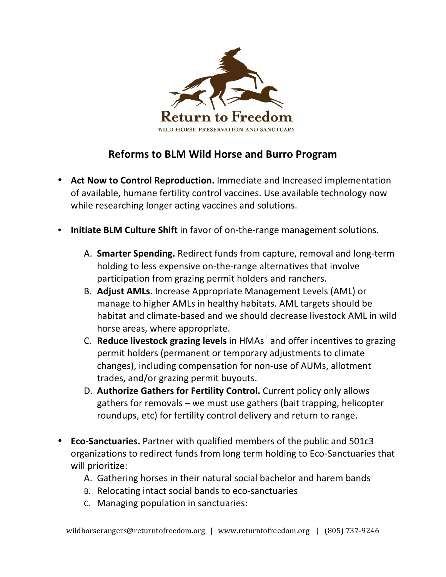

## **Reforms to BLM Wild Horse and Burro Program**

- Act Now to Control Reproduction. Immediate and Increased implementation of available, humane fertility control vaccines. Use available technology now while researching longer acting vaccines and solutions.
- **Initiate BLM Culture Shift** in favor of on-the-range management solutions.
	- A. Smarter Spending. Redirect funds from capture, removal and long-term holding to less expensive on-the-range alternatives that involve participation from grazing permit holders and ranchers.
	- B. **Adjust AMLs.** Increase Appropriate Management Levels (AML) or manage to higher AMLs in healthy habitats. AML targets should be habitat and climate-based and we should decrease livestock AML in wild horse areas, where appropriate.
	- C. **Reduce livestock grazing levels** in HMAs  $^{\dagger}$  and offer incentives to grazing permit holders (permanent or temporary adjustments to climate changes), including compensation for non-use of AUMs, allotment trades, and/or grazing permit buyouts.
	- D. **Authorize Gathers for Fertility Control.** Current policy only allows gathers for removals – we must use gathers (bait trapping, helicopter roundups, etc) for fertility control delivery and return to range.
- **Eco-Sanctuaries.** Partner with qualified members of the public and 501c3 organizations to redirect funds from long term holding to Eco-Sanctuaries that will prioritize:
	- A. Gathering horses in their natural social bachelor and harem bands
	- B. Relocating intact social bands to eco-sanctuaries
	- C. Managing population in sanctuaries: